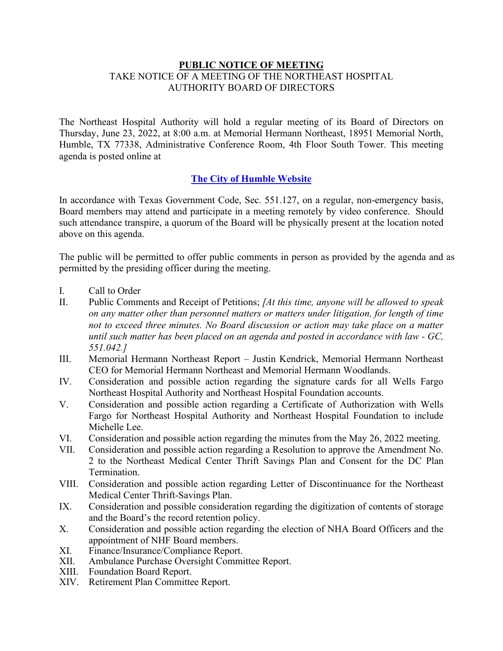## **PUBLIC NOTICE OF MEETING** TAKE NOTICE OF A MEETING OF THE NORTHEAST HOSPITAL AUTHORITY BOARD OF DIRECTORS

The Northeast Hospital Authority will hold a regular meeting of its Board of Directors on Thursday, June 23, 2022, at 8:00 a.m. at Memorial Hermann Northeast, 18951 Memorial North, Humble, TX 77338, Administrative Conference Room, 4th Floor South Tower. This meeting agenda is posted online at

## **The City of Humble Website**

In accordance with Texas Government Code, Sec. 551.127, on a regular, non-emergency basis, Board members may attend and participate in a meeting remotely by video conference. Should such attendance transpire, a quorum of the Board will be physically present at the location noted above on this agenda.

The public will be permitted to offer public comments in person as provided by the agenda and as permitted by the presiding officer during the meeting.

- I. Call to Order
- II. Public Comments and Receipt of Petitions; *[At this time, anyone will be allowed to speak on any matter other than personnel matters or matters under litigation, for length of time not to exceed three minutes. No Board discussion or action may take place on a matter until such matter has been placed on an agenda and posted in accordance with law - GC, 551.042.]*
- III. Memorial Hermann Northeast Report Justin Kendrick, Memorial Hermann Northeast CEO for Memorial Hermann Northeast and Memorial Hermann Woodlands.
- IV. Consideration and possible action regarding the signature cards for all Wells Fargo Northeast Hospital Authority and Northeast Hospital Foundation accounts.
- V. Consideration and possible action regarding a Certificate of Authorization with Wells Fargo for Northeast Hospital Authority and Northeast Hospital Foundation to include Michelle Lee.
- VI. Consideration and possible action regarding the minutes from the May 26, 2022 meeting.
- VII. Consideration and possible action regarding a Resolution to approve the Amendment No. 2 to the Northeast Medical Center Thrift Savings Plan and Consent for the DC Plan Termination.
- VIII. Consideration and possible action regarding Letter of Discontinuance for the Northeast Medical Center Thrift-Savings Plan.
- IX. Consideration and possible consideration regarding the digitization of contents of storage and the Board's the record retention policy.
- X. Consideration and possible action regarding the election of NHA Board Officers and the appointment of NHF Board members.
- XI. Finance/Insurance/Compliance Report.
- XII. Ambulance Purchase Oversight Committee Report.
- XIII. Foundation Board Report.
- XIV. Retirement Plan Committee Report.